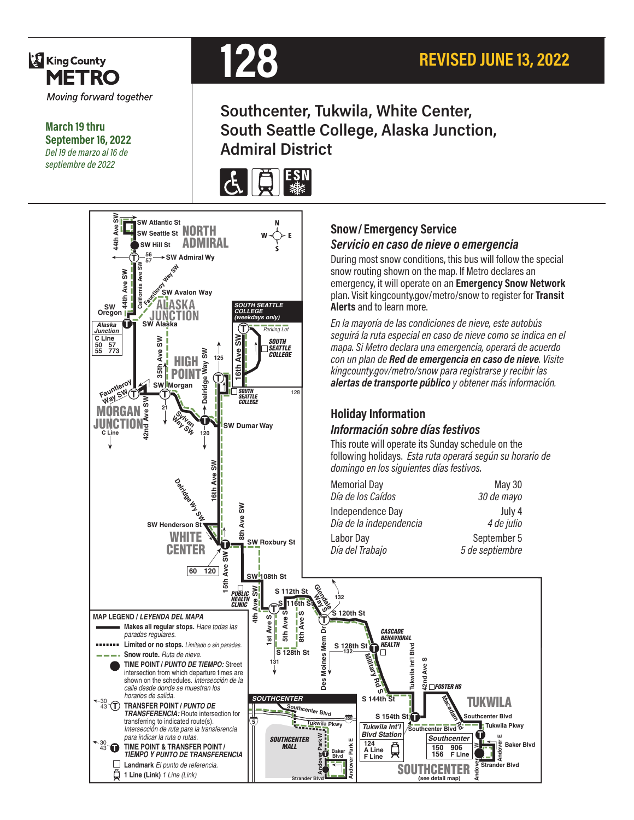

**March 19 thru September 16, 2022** *Del 19 de marzo al 16 de septiembre de 2022*



# **Southcenter, Tukwila, White Center, South Seattle College, Alaska Junction, Admiral District**





#### **Snow/ Emergency Service**  *Servicio en caso de nieve o emergencia*

During most snow conditions, this bus will follow the special snow routing shown on the map. If Metro declares an emergency, it will operate on an **Emergency Snow Network**  plan. Visit kingcounty.gov/metro/snow to register for **Transit Alerts** and to learn more.

*En la mayoría de las condiciones de nieve, este autobús seguirá la ruta especial en caso de nieve como se indica en el mapa. Si Metro declara una emergencia, operará de acuerdo con un plan de Red de emergencia en caso de nieve. Visite kingcounty.gov/metro/snow para registrarse y recibir las alertas de transporte público y obtener más información.*

#### **Holiday Information** *Información sobre días festivos*

This route will operate its Sunday schedule on the following holidays. *Esta ruta operará según su horario de domingo en los siguientes días festivos.*

Memorial Day<br>
Día de los Caídos<br>
May 30 de mayo *Día de los Caídos 30 de mayo* Independence Day<br>Día de la independencia de la segunto de fulio *Día de la independencia 4 de julio* Labor Day<br>
Día del Trabajo<br>
5 de septiembre

*Día del Trabajo 5 de septiembre*

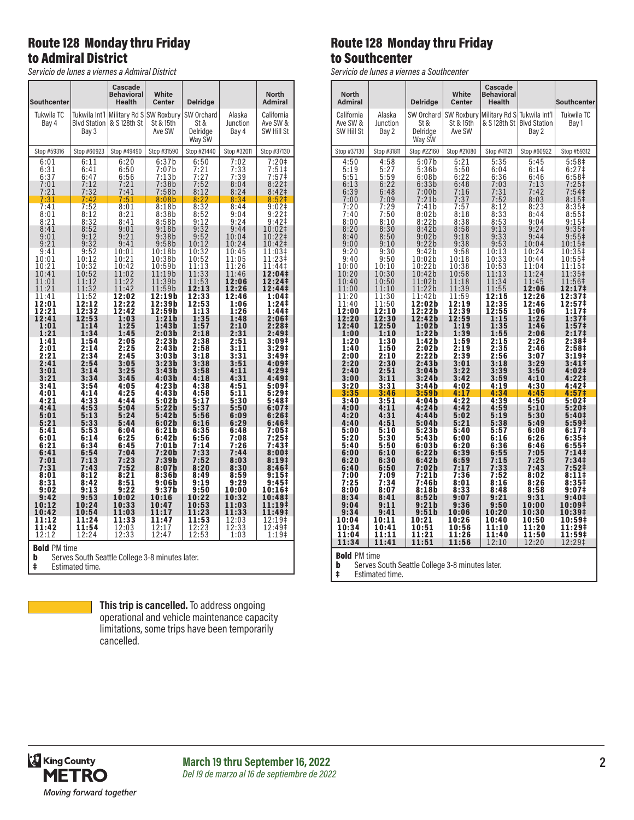#### Route 128 Monday thru Friday to Admiral District

*Servicio de lunes a viernes a Admiral District*

| Southcenter                                                                                                                                                                                                                                                           |                                                                                                                                                                                                                                                                              | Cascade<br><b>Behavioral</b><br>Health                                                                                                                                                                                                                                | White<br><b>Center</b>                                                                                                                                                                                                                                                                                 | <b>Delridge</b>                                                                                                                                                                                                                                                       |                                                                                                                                                                                                                                                                       | <b>North</b><br><b>Admiral</b>                                                                                                                                                                                                                                                                                                               |
|-----------------------------------------------------------------------------------------------------------------------------------------------------------------------------------------------------------------------------------------------------------------------|------------------------------------------------------------------------------------------------------------------------------------------------------------------------------------------------------------------------------------------------------------------------------|-----------------------------------------------------------------------------------------------------------------------------------------------------------------------------------------------------------------------------------------------------------------------|--------------------------------------------------------------------------------------------------------------------------------------------------------------------------------------------------------------------------------------------------------------------------------------------------------|-----------------------------------------------------------------------------------------------------------------------------------------------------------------------------------------------------------------------------------------------------------------------|-----------------------------------------------------------------------------------------------------------------------------------------------------------------------------------------------------------------------------------------------------------------------|----------------------------------------------------------------------------------------------------------------------------------------------------------------------------------------------------------------------------------------------------------------------------------------------------------------------------------------------|
| Tukwila TC<br>Bay 4                                                                                                                                                                                                                                                   | <b>Blvd Station</b><br>Bay 3                                                                                                                                                                                                                                                 | Tukwila Int'l Military Rd S SW Roxbury<br>& S 128th St                                                                                                                                                                                                                | St & 15th<br>Ave SW                                                                                                                                                                                                                                                                                    | SW Orchard<br>St &<br>Delridge<br>Way SW                                                                                                                                                                                                                              | Alaska<br>Junction<br>Bay 4                                                                                                                                                                                                                                           | California<br>Ave SW &<br>SW Hill St                                                                                                                                                                                                                                                                                                         |
| Stop #59316                                                                                                                                                                                                                                                           | Stop #60923                                                                                                                                                                                                                                                                  | Stop #49490                                                                                                                                                                                                                                                           | Stop #31590                                                                                                                                                                                                                                                                                            | Stop #21440                                                                                                                                                                                                                                                           | Stop #32011                                                                                                                                                                                                                                                           | Stop #37130                                                                                                                                                                                                                                                                                                                                  |
| 6:01<br>6:31<br>6:37<br>7:01<br>7:21                                                                                                                                                                                                                                  | 6:11<br>6:41<br>6:47<br>7:12<br>7:32                                                                                                                                                                                                                                         | 6:20<br>6:50<br>$6:56$<br>$7:21$<br>7:41                                                                                                                                                                                                                              | 6:37b<br>7:07b<br>7:13b<br>7:38b<br>7:58b                                                                                                                                                                                                                                                              | 6:50<br>7:21<br>7:27<br>7:52<br>8:12                                                                                                                                                                                                                                  | 7:02<br>7:33<br>7:39<br>8:04<br>8:24                                                                                                                                                                                                                                  | 7:20#<br>$7:51\$<br>7:57‡<br>$8:22$ ‡<br>8:42 <sup>‡</sup>                                                                                                                                                                                                                                                                                   |
| 7:31<br>7:41<br>8:01<br>8:21<br>8:41<br>9:01<br>9:21<br>9:41<br>10:01<br>10:21<br>10:41<br>11:01<br>11:21<br>11:41<br>12:01<br>12:21<br>12:41<br>1:01<br>1:21<br>1:41<br>2:01<br>2:21<br>2:41<br>3:01<br>3:21<br>3:41<br>4:01<br>4:21<br>4:41<br>5:01<br>5:21<br>5:41 | 7:42<br>7:52<br>8:12<br>8:32<br>8:52<br>9:12<br>9:32<br>9:52<br>10:12<br>10:32<br>10:52<br>11:12<br>11:32<br>$\frac{11:52}{12:12}$<br>12:32<br>12:53<br>1:14<br>1:34<br>1:54<br>2:14<br>2:34<br>2:54<br>3:14<br>3:34<br>3:54<br>4:14<br>4:33<br>4:53<br>5:13<br>5:33<br>5:53 | 7:51<br>8:01<br>8:21<br>8:41<br>9:01<br>9:21<br>9:41<br>10:01<br>10:21<br>10:42<br>11:02<br>11:22<br>11:42<br>12:02<br>12:22<br>12:42<br>1:03<br>1:25<br>1:45<br>2:05<br>2:25<br>2:45<br>3:05<br>3:25<br>3:45<br>4:05<br>4:25<br>4:44<br>5:04<br>5:24<br>5:44<br>6:04 | 8:08b<br>8:18b<br>8:38b<br>8:58b<br>9:18b<br>9:38b<br>9:58b<br>10:18b<br>10:38b<br>10:59b<br>11:19b<br>11:39b<br>11:59b<br>12:19b<br>12:39b<br>12:59b<br>1:21b<br>1:43b<br>2:03b<br>2:23b<br>2:43b<br>3:03b<br>3:23b<br>3:43b<br>4:03b<br>4:23 b<br>4:43b<br>5:02b<br>5:22b<br>5:42b<br>6:02b<br>6:21b | 8:22<br>8:32<br>8:52<br>9:12<br>9:32<br>9:52<br>10:12<br>10:32<br>10:52<br>11:13<br>11:33<br>11:53<br>12:13<br>12:33<br>12:53<br>1:13<br>1:35<br>1:57<br>2:18<br>2:38<br>2:58<br>3:18<br>3:38<br>3:58<br>4:18<br>4:38<br>4:58<br>5:17<br>5:37<br>5:56<br>6:16<br>6:35 | 8:34<br>8:44<br>9:04<br>9:24<br>9:44<br>10:04<br>10:24<br>10:45<br>11:05<br>11:26<br>11:46<br>12:06<br>12:26<br>12:46<br>1:06<br>1:26<br>1:48<br>2:10<br>2:31<br>2:51<br>3:11<br>3:31<br>3:51<br>4:11<br>4:31<br>4:51<br>5:11<br>5:30<br>5:50<br>6:09<br>6:29<br>6:48 | 8:52 <sup>‡</sup><br>9:02 <sup>‡</sup><br>$9:22$ ‡<br>9:42‡<br>10:02‡<br>10:22‡<br>10:42‡<br>11:03‡<br>11:23‡<br>11:44‡<br>12:04‡<br>12:24‡<br>12:44‡<br>1:04‡<br>1:24‡<br>1:44‡<br>2:06‡<br>2:28‡<br>2:49‡<br>3:09‡<br>3:29‡<br>3:49‡<br>4:09‡<br>4:29‡<br>4:49‡<br>5:09‡<br>5:29‡<br>5:48 <sup>‡</sup><br>6:07‡<br>6:26#<br>6:46‡<br>7:05‡ |
| 6:01<br>6:21<br>6:41<br>7:01<br>7:31<br>8:01<br>8:31<br>9:02                                                                                                                                                                                                          | 6:14<br>6:34<br>6:54<br>7:13<br>7:43<br>8:12<br>8:42<br>9:13                                                                                                                                                                                                                 | 6:25<br>6:45<br>7:04<br>7:23<br>7:52<br>8:21<br>8:51<br>9:22                                                                                                                                                                                                          | 6:42b<br>7:01b<br>7:20b<br>7:39b<br>8:07b<br>8:36b<br>9:06b<br>9:37b                                                                                                                                                                                                                                   | 6:56<br>7:14<br>7:33<br>7:52<br>8:20<br>8:49<br>9:19<br>9:50                                                                                                                                                                                                          | 7:08<br>7:26<br>7:44<br>8:03<br>8:30<br>8:59<br>9:29<br>10:00                                                                                                                                                                                                         | 7:25‡<br>7:43‡<br>8:00‡<br>8:19‡<br>8:46‡<br>9:15‡<br>9:45‡<br>10:16‡                                                                                                                                                                                                                                                                        |
| 9:42<br>10:12<br>10:42<br>11:12<br>11:42<br>12:12<br><b>Bold PM time</b><br>b                                                                                                                                                                                         | 9:53<br>10:24<br>10:54<br>11:24<br>11:54<br>12:24                                                                                                                                                                                                                            | 10:02<br>10:33<br>11:03<br>11:33<br>12:03<br>12:33<br>Serves South Seattle College 3-8 minutes later.                                                                                                                                                                 | 10:16<br>10:47<br>11:17<br>11:47<br>12:17<br>12:47                                                                                                                                                                                                                                                     | 10:22<br>10:53<br>11:23<br>11:53<br>12:23<br>12:53                                                                                                                                                                                                                    | 10:32<br>11:03<br>11:33<br>12:03<br>12:33<br>1:03                                                                                                                                                                                                                     | 10:48‡<br>11:19‡<br>11:49‡<br>12:19‡<br>12:49‡<br>1:19‡                                                                                                                                                                                                                                                                                      |

**b** Serves South Seattle College 3-8 minutes later. ‡ Estimated time.



#### **This trip is cancelled.** To address ongoing operational and vehicle maintenance capacity limitations, some trips have been temporarily cancelled.

## Route 128 Monday thru Friday to Southcenter

*Servicio de lunes a viernes a Southcenter*

| <b>North</b>                                |                   |                  | White               | Cascade<br><b>Behavioral</b>                      |                                      |                                        |
|---------------------------------------------|-------------------|------------------|---------------------|---------------------------------------------------|--------------------------------------|----------------------------------------|
| <b>Admiral</b>                              |                   | <b>Delridge</b>  | Center              | Health                                            |                                      | Southcenter                            |
| California                                  | Alaska            |                  |                     | SW Orchard SW Roxbury Military Rd S Tukwila Int'l |                                      | Tukwila TC                             |
| Ave SW &<br>SW Hill St                      | Junction<br>Bay 2 | St &<br>Delridge | St & 15th<br>Ave SW |                                                   | & S 128th St   Blvd Station<br>Bay 2 | Bay 1                                  |
|                                             |                   | Way SW           |                     |                                                   |                                      |                                        |
| Stop #37130                                 | Stop #31811       | Stop #22160      | Stop #21080         | Stop #41121                                       | Stop #60922                          | Stop #59312                            |
| 4:50                                        | 4:58              | 5:07b            | 5:21                | 5:35                                              | 5:45                                 | 5:58 <sup>‡</sup>                      |
| 5:19                                        | 5:27              | 5:36b<br>6:08b   | 5:50<br>6:22        | 6:04<br>6:36                                      | 6:14<br>6:46                         | 6:27 <sup>‡</sup>                      |
| $\begin{array}{c} 5:51 \\ 6:13 \end{array}$ | $5:59$<br>$6:22$  | 6:33b            | 6:48                | 7:03                                              | 7:13                                 | $6:58‡$<br>7:25‡                       |
| 6:39<br>7:00                                | 6:48<br>7:09      | 7:00b<br>7:21b   | 7:16<br>7:37        | 7:31<br>7:52                                      | 7:42<br>8:03                         | 7:54 <sup>‡</sup><br>$8:15+$           |
| 7:20                                        | 7:29              | 7:41b            | 7:57                | 8:12                                              | 8:23                                 | $8:35+$                                |
| 7:40<br>8:00                                | 7:50<br>8:10      | 8:02b<br>8:22b   | 8:18<br>8:38        | 8:33<br>8:53                                      | 8:44<br>9:04                         | $8:55\ddagger$<br>$9:15$ ‡             |
| 8:20                                        | 8:30              | 8:42b            | 8:58                | 9:13                                              | 9:24                                 | 9:35 <sup>‡</sup>                      |
| 8:40<br>9:00                                | 8:50<br>9:10      | 9:02b<br>9:22b   | 9:18<br>9:38        | 9:33<br>9:53                                      | 9:44<br>10:04                        | $9:55 \ddagger$<br>10:15‡              |
| 9:20                                        | 9:30              | 9:42b            | 9:58                | 10:13                                             | 10:24                                | 10:35‡                                 |
| 9:40                                        | 9:50<br>10:10     | 10:02b           | 10:18               | 10:33                                             | 10:44                                | 10:55‡                                 |
| 10:00<br>10:20                              | 10:30             | 10:22b<br>10:42b | 10:38<br>10:58      | 10:53<br>11:13                                    | 11:04<br>11:24                       | 11:15‡<br>11:35‡                       |
| 10:40                                       | 10:50             | 11:02b           | 11:18               | 11:34                                             | 11:45                                | 11:56‡                                 |
| 11:00<br>11:20                              | 11:10<br>11:30    | 11:22b<br>11:42b | 11:39<br>11:59      | 11:55<br>12:15                                    | 12:06<br>12:26                       | 12:17‡<br>12:37‡                       |
| 11:40                                       | 11:50             | 12:02b           | 12:19               | 12:35                                             | 12:46                                | $12:57*$                               |
| 12:00<br>12:20                              | 12:10<br>12:30    | 12:22b<br>12:42b | 12:39<br>12:59      | 12:55<br>1:15                                     | 1:06<br>1:26                         | 1:17‡<br>1:37‡                         |
| 12:40                                       | 12:50             | 1:02b            | 1:19                | 1:35                                              | 1:46                                 | 1:57 <sup>‡</sup>                      |
| 1:00<br>1:20                                | 1:10<br>1:30      | 1:22b<br>1:42b   | 1:39<br>1:59        | 1:55<br>2:15                                      | 2:06<br>2:26                         | 2:17 <sup>‡</sup><br>2:38‡             |
| 1:40                                        | 1:50              | 2:02b            | 2:19                | 2:35                                              | 2:46                                 | 2:58‡                                  |
| 2:00<br>2:20                                | 2:10<br>2:30      | 2:22b<br>2:43b   | 2:39                | 2:56                                              | 3:07<br>3:29                         | 3:19#<br>3:41 <sup>‡</sup>             |
| 2:40                                        | 2:51              | 3:04b            | $3:01$<br>$3:22$    | $3:18$<br>$3:39$                                  | 3:50                                 | 4:02‡                                  |
| 3:00<br>3:20                                | 3:11<br>3:31      | 3:24b<br>3:44b   | 3:42<br>4:02        | 3:59<br>4:19                                      | 4:10<br>4:30                         | 4:221<br>4:42‡                         |
| 3:35                                        | 3:46              | 3:59b            | 4:17                | 4:34                                              | 4:45                                 | 4:57‡                                  |
| 3:40<br>4:00                                | 3:51<br>4:11      | 4:04b<br>4:24b   | 4:22<br>4:42        | 4:39<br>4:59                                      | 4:50<br>5:10                         | 5:02‡<br>5:20‡                         |
| 4:20                                        | 4:31              | 4:44b            | 5:02                | 5:19                                              | 5:30                                 | 5:40‡                                  |
| 4:40<br>5:00                                | 4:51<br>5:10      | 5:04b<br>5:23b   | 5:21<br>5:40        | 5:38<br>5:57                                      | 5:49<br>6:08                         | 5:59 <sup>‡</sup><br>6:17 <sup>‡</sup> |
| 5:20                                        | 5:30              | 5:43b            | 6:00                | 6:16                                              | 6:26                                 | 6:35#                                  |
| 5:40<br>6:00                                | 5:50<br>6:10      | 6:03b<br>6:22b   | 6:20<br>6:39        | 6:36<br>6:55                                      | 6:46<br>7:05                         | $6:55\frac{1}{2}$<br>7:14‡             |
| 6:20                                        | 6:30              | 6:42b            | 6:59                | 7:15                                              | 7:25                                 | 7:34‡                                  |
| 6:40                                        | 6:50              | 7:02b<br>7:21b   | 7:17<br>7:36        | 7:33<br>7:52                                      | 7:43<br>8:02                         | 7:52‡<br>8:11‡                         |
| 7:00<br>7:25                                | 7:09<br>7:34      | 7:46b            | 8:01                | 8:16                                              | 8:26                                 | 8:35‡                                  |
| 8:00                                        | 8:07              | 8:18b            | 8:33                | 8:48                                              | 8:58                                 | 9:07‡                                  |
| 8:34<br>9:04                                | 8:41<br>9:11      | 8:52b<br>9:21b   | 9:07<br>9:36        | 9:21<br>9:50                                      | 9:31<br>10:00                        | 9:40‡<br>10:09‡                        |
| 9:34                                        | 9:41              | 9:51b            | 10:06               | 10:20                                             | 10:30                                | 10:39‡                                 |
| 10:04<br>10:34                              | 10:11<br>10:41    | 10:21<br>10:51   | 10:26<br>10:56      | 10:40<br>11:10                                    | 10:50<br>11:20                       | 10:59‡<br>11:29‡                       |
| 11:04                                       | 11:11             | 11:21            | 11:26               | 11:40                                             | 11:50                                | 11:59‡                                 |
| 11:34                                       | 11:41             | 11:51            | 11:56               | 12:10                                             | 12:20                                | 12:29‡                                 |
| $\mathbf{D}\mathbf{A}$ . DM time            |                   |                  |                     |                                                   |                                      |                                        |

**Bold** PM time<br>**b** Serves S

**b** Serves South Seattle College 3-8 minutes later.<br> **‡** Estimated time.

Estimated time.

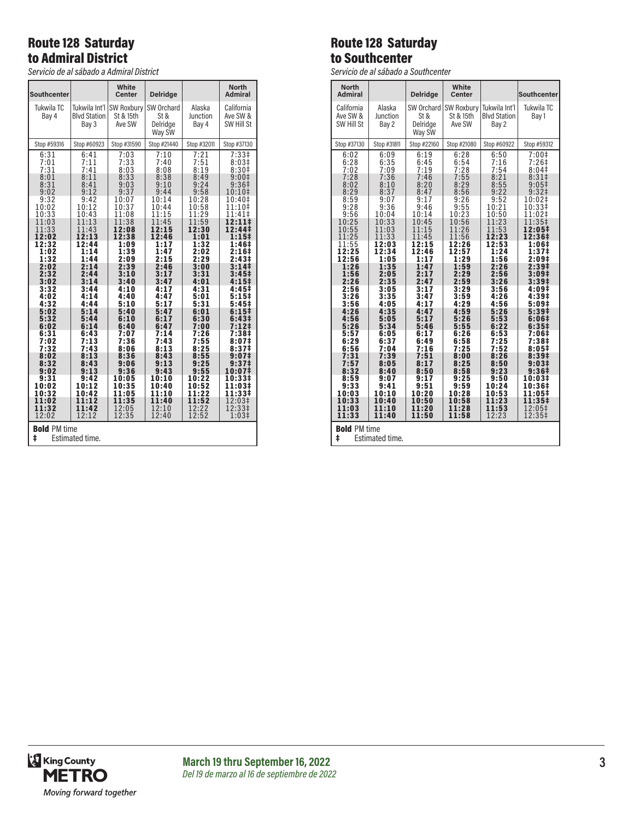## Route 128 Saturday to Admiral District

*Servicio de al sábado a Admiral District*

| <b>Southcenter</b>                                                                                                                                                                                                                             |                                                                                                                                                                                                                                            | White<br>Center                                                                                                                                                                                                                            | <b>Delridge</b>                                                                                                                                                                                                                            |                                                                                                                                                                                                                                           | <b>North</b><br><b>Admiral</b>                                                                                                                                                                                                                                                                                                                    |
|------------------------------------------------------------------------------------------------------------------------------------------------------------------------------------------------------------------------------------------------|--------------------------------------------------------------------------------------------------------------------------------------------------------------------------------------------------------------------------------------------|--------------------------------------------------------------------------------------------------------------------------------------------------------------------------------------------------------------------------------------------|--------------------------------------------------------------------------------------------------------------------------------------------------------------------------------------------------------------------------------------------|-------------------------------------------------------------------------------------------------------------------------------------------------------------------------------------------------------------------------------------------|---------------------------------------------------------------------------------------------------------------------------------------------------------------------------------------------------------------------------------------------------------------------------------------------------------------------------------------------------|
| Tukwila TC<br>Bay 4                                                                                                                                                                                                                            | Tukwila Int'l<br><b>Blvd Station</b><br>Bay 3                                                                                                                                                                                              | SW Roxbury<br>St & 15th<br>Ave SW                                                                                                                                                                                                          | SW Orchard<br>St &<br>Delridge<br>Way SW                                                                                                                                                                                                   | Alaska<br>Junction<br>Bay 4                                                                                                                                                                                                               | California<br>Ave SW &<br>SW Hill St                                                                                                                                                                                                                                                                                                              |
| Stop #59316                                                                                                                                                                                                                                    | Stop #60923                                                                                                                                                                                                                                | Stop #31590                                                                                                                                                                                                                                | Stop #21440                                                                                                                                                                                                                                | Stop #32011                                                                                                                                                                                                                               | Stop #37130                                                                                                                                                                                                                                                                                                                                       |
| 6:31<br>$7:01$<br>$7:31$<br>8:01<br>8:31<br>9:02<br>9:32<br>10:02<br>10:33<br>11:03<br>11:33<br>12:02<br>12:32<br>1:02<br>1:32<br>2:02<br>2:32<br>3:02<br>3:32<br>4:02<br>4:32<br>5:02<br>5:32<br>6:02<br>6:31<br>7:02<br>7:32<br>8:02<br>8:32 | 6:41<br>7:11<br>7:41<br>8:11<br>8:41<br>9:12<br>9:42<br>10:12<br>10:43<br>11:13<br>11:43<br>12:13<br>12:44<br>1:14<br>1:44<br>2:14<br>2:44<br>3:14<br>3:44<br>4:14<br>4:44<br>5:14<br>5:44<br>6:14<br>6:43<br>7:13<br>7:43<br>8:13<br>8:43 | 7:03<br>7:33<br>8:03<br>8:33<br>9:03<br>9:37<br>10:07<br>10:37<br>11:08<br>11:38<br>12:08<br>12:38<br>1:09<br>1:39<br>2:09<br>2:39<br>3:10<br>3:40<br>4:10<br>4:40<br>5:10<br>5:40<br>6:10<br>6:40<br>7:07<br>7:36<br>8:06<br>8:36<br>9:06 | 7:10<br>7:40<br>8:08<br>8:38<br>9:10<br>9:44<br>10:14<br>10:44<br>11:15<br>11:45<br>12:15<br>12:46<br>1:17<br>1:47<br>2:15<br>2:46<br>3:17<br>3:47<br>4:17<br>4:47<br>5:17<br>5:47<br>6:17<br>6:47<br>7:14<br>7:43<br>8:13<br>8:43<br>9:13 | 7:21<br>7:51<br>8:19<br>8:49<br>9:24<br>9:58<br>10:28<br>10:58<br>11:29<br>11:59<br>12:30<br>1:01<br>1:32<br>2:02<br>2:29<br>3:00<br>3:31<br>4:01<br>4:31<br>5:01<br>5:31<br>6:01<br>6:30<br>7:00<br>7:26<br>7:55<br>8:25<br>8:55<br>9:25 | 7:33 <sup>‡</sup><br>$8:03‡$<br>8:30‡<br>9:00 <sup>‡</sup><br>9:36 <sup>‡</sup><br>10:10‡<br>10:40‡<br>11:10‡<br>11:41‡<br>12:11‡<br>12:44‡<br>1:15‡<br>1:46‡<br>2:16 <sup>‡</sup><br>2:43 <sup>‡</sup><br>3:14‡<br>3:45‡<br>4:15‡<br>4:45‡<br>5:15‡<br>5:45#<br>6:15‡<br>6:43‡<br>7:12‡<br>7:38‡<br>8:07‡<br>8:37 <sup>‡</sup><br>9:07‡<br>9:37‡ |
| 9:02<br>9:31                                                                                                                                                                                                                                   | 9:13<br>9:42                                                                                                                                                                                                                               | 9:36<br>10:05                                                                                                                                                                                                                              | 9:43<br>10:10                                                                                                                                                                                                                              | 9:55<br>10:22                                                                                                                                                                                                                             | 10:07‡<br>10:33‡                                                                                                                                                                                                                                                                                                                                  |
| 10:02<br>10:32                                                                                                                                                                                                                                 | 10:12<br>10:42                                                                                                                                                                                                                             | 10:35<br>11:05                                                                                                                                                                                                                             | 10:40<br>11:10                                                                                                                                                                                                                             | 10:52<br>11:22                                                                                                                                                                                                                            | 11:03‡<br>11:33‡                                                                                                                                                                                                                                                                                                                                  |
| 11:02<br>11:32<br>12:02                                                                                                                                                                                                                        | 11:12<br>11:42<br>12:12                                                                                                                                                                                                                    | 11:35<br>12:05<br>12:35                                                                                                                                                                                                                    | 11:40<br>12:10<br>12:40                                                                                                                                                                                                                    | 11:52<br>12:22<br>12:52                                                                                                                                                                                                                   | 12:03‡<br>12:33‡<br>1:03 <sup>‡</sup>                                                                                                                                                                                                                                                                                                             |
| <b>Bold PM time</b><br>ŧ<br>Estimated time.                                                                                                                                                                                                    |                                                                                                                                                                                                                                            |                                                                                                                                                                                                                                            |                                                                                                                                                                                                                                            |                                                                                                                                                                                                                                           |                                                                                                                                                                                                                                                                                                                                                   |

# Route 128 Saturday to Southcenter

*Servicio de al sábado a Southcenter*

| <b>North</b>                                                                                                             |                             |                                          | White                                    |                                               |                            |  |
|--------------------------------------------------------------------------------------------------------------------------|-----------------------------|------------------------------------------|------------------------------------------|-----------------------------------------------|----------------------------|--|
| <b>Admiral</b>                                                                                                           |                             | <b>Delridge</b>                          | Center                                   |                                               | <b>Southcenter</b>         |  |
| California<br>Ave SW &<br>SW Hill St                                                                                     | Alaska<br>Junction<br>Bay 2 | SW Orchard<br>St &<br>Delridge<br>Way SW | <b>SW Roxbury</b><br>St & 15th<br>Ave SW | Tukwila Int'l<br><b>Blvd Station</b><br>Bay 2 | Tukwila TC<br>Bay 1        |  |
| Stop #37130                                                                                                              | Stop #31811                 | Stop #22160                              | Stop #21080                              | Stop #60922                                   | Stop #59312                |  |
| 6:02                                                                                                                     | 6:09                        | 6:19                                     | 6:28                                     | 6:50                                          | $7:00$ ‡                   |  |
| 6:28                                                                                                                     | 6:35                        | 6:45                                     | 6:54                                     | 7:16                                          | $7:26$ ‡                   |  |
| 7:02                                                                                                                     | 7:09                        | 7:19                                     | 7:28                                     | 7:54                                          | 8:04 <sup>‡</sup>          |  |
| 7:28                                                                                                                     | 7:36                        | 7:46                                     | 7:55                                     | 8:21                                          | 8:31 <sup>‡</sup>          |  |
| 8:02                                                                                                                     | 8:10                        | 8:20                                     | 8:29                                     | 8:55                                          | 9:05 <sup>‡</sup>          |  |
| 8:29                                                                                                                     | 8:37                        | 8:47                                     | 8:56                                     | 9:22                                          | 9:32 <sup>†</sup>          |  |
| 8:59                                                                                                                     | 9:07                        | 9:17                                     | 9:26                                     | 9:52                                          | 10:02‡                     |  |
| 9:28                                                                                                                     | 9:36                        | 9:46                                     | 9:55                                     | 10:21                                         | 10:33‡                     |  |
| 9:56                                                                                                                     | 10:04                       | 10:14                                    | 10:23                                    | 10:50                                         | 11:02‡                     |  |
| 10:25                                                                                                                    | 10:33                       | 10:45                                    | 10:56                                    | 11:23                                         | 11:35‡                     |  |
| 10:55                                                                                                                    | 11:03                       | 11:15                                    | 11:26                                    | 11:53                                         | 12:05‡                     |  |
| 11:25                                                                                                                    | 11:33                       | 11:45                                    | 11:56                                    | 12:23                                         | 12:36‡                     |  |
| 11:55                                                                                                                    | 12:03                       | 12:15                                    | 12:26                                    | 12:53                                         | 1:06‡                      |  |
| 12:25                                                                                                                    | 12:34                       | 12:46                                    | 12:57                                    | 1:24                                          | 1:37‡                      |  |
| 12:56                                                                                                                    | 1:05                        | 1:17                                     | 1:29                                     | 1:56                                          | 2:09 <sup>‡</sup>          |  |
| 1:26                                                                                                                     | 1:35                        | 1:47                                     | 1:59                                     | 2:26                                          | 2:39 <sup>‡</sup>          |  |
| 1:56                                                                                                                     | 2:05                        | 2:17                                     | 2:29                                     | 2:56                                          | 3:09 <sup>‡</sup>          |  |
| 2:26                                                                                                                     | 2:35                        | 2:47                                     | 2:59                                     | 3:26                                          | 3:39 <sup>‡</sup>          |  |
| 2:56                                                                                                                     | 3:05                        | 3:17                                     | 3:29                                     | 3:56                                          | 4:09‡                      |  |
| 3:26                                                                                                                     | 3:35                        | 3:47                                     | 3:59                                     | 4:26                                          | 4:39‡                      |  |
| 3:56                                                                                                                     | 4:05                        | 4:17                                     | 4:29                                     | 4:56                                          | 5:09#                      |  |
| 4:26                                                                                                                     | 4:35                        | 4:47                                     | 4:59                                     | 5:26                                          | 5:39‡                      |  |
| 4:56                                                                                                                     | 5:05                        | 5:17                                     | 5:26                                     | 5:53                                          | 6:06#                      |  |
| 5:26                                                                                                                     | 5:34                        | 5:46                                     | 5:55                                     | 6:22                                          | 6:35#                      |  |
| 5:57                                                                                                                     | 6:05                        | 6:17                                     | 6:26                                     | 6:53                                          | 7:06‡                      |  |
| 6:29                                                                                                                     | 6:37                        | 6:49                                     | 6:58                                     | 7:25                                          | 7:38 <sup>‡</sup>          |  |
| 6:56                                                                                                                     | 7:04                        | 7:16                                     | 7:25                                     | 7:52                                          | 8:05‡                      |  |
| 7:31                                                                                                                     | 7:39                        | 7:51                                     | 8:00                                     | 8:26                                          | 8:39 <sup>‡</sup>          |  |
| 7:57                                                                                                                     | 8:05                        | 8:17                                     | 8:25                                     | 8:50                                          | 9:03#                      |  |
| 8:32                                                                                                                     | 8:40                        | 8:50                                     | 8:58                                     | 9:23                                          | 9:36#                      |  |
| 8:59                                                                                                                     | 9:07                        | 9:17                                     | 9:25                                     | 9:50                                          | 10:03‡                     |  |
| 9:33<br>10:03<br>10:33<br>11:03                                                                                          | 9:41<br>10:10<br>10:40      | 9:51<br>10:20<br>10:50                   | 9:59<br>10:28<br>10:58                   | 10:24<br>10:53<br>11:23                       | 10:36‡<br>11:05‡<br>11:35‡ |  |
| 12:05‡<br>11:53<br>11:10<br>11:20<br>11:28<br>11:33<br>11:40<br>11:50<br>11:58<br>12:23<br>12:35‡<br><b>Bold PM time</b> |                             |                                          |                                          |                                               |                            |  |
| ŧ<br>Estimated time.                                                                                                     |                             |                                          |                                          |                                               |                            |  |